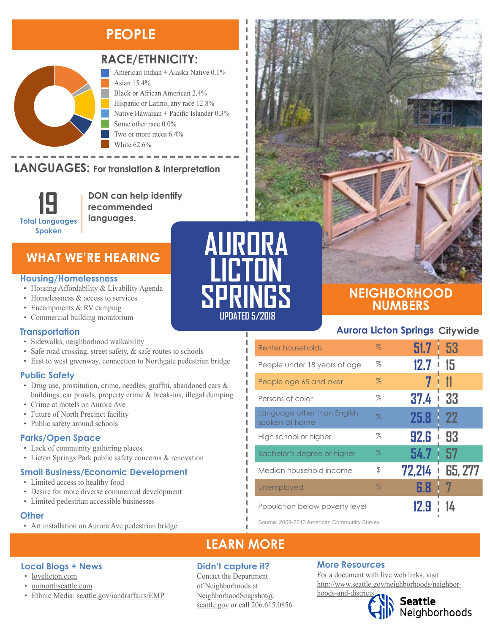# **PEOPLE**



# **RACE/ETHNICITY:**

American Indian + Alaska Native 0.1% Asian 15.4% Black or African American 2.4% Hispanic or Latino, any race 12.8% Native Hawaiian + Pacific Islander 0.3% Some other race 0.0% Two or more races 6.4% White 62.6%

#### **LANGUAGES:** For translation & interpretation NANGUAGE)



**DON can help identify recommended languages.**

# **WHAT WE'RE HEARING**

#### **Housing/Homelessness**

- Housing Affordability & Livability Agenda
- Homelessness & access to services
- Encampments & RV camping
- Commercial building moratorium

#### **Transportation**

- Sidewalks, neighborhood walkability
- Safe road crossing, street safety, & safe routes to schools
- East to west greenway, connection to Northgate pedestrian bridge

### **Public Safety**

- Drug use, prostitution, crime, needles, graffiti, abandoned cars & buildings, car prowls, property crime & break-ins, illegal dumping
- Crime at motels on Aurora Ave
- Future of North Precinct facility
- Public safety around schools

### **Parks/Open Space**

- Lack of community gathering places
- Licton Springs Park public safety concerns & renovation

# **Small Business/Economic Development**

• Limited access to healthy food

**Local Blogs + News** • [lovelicton.com](https://lovelicton.com/) • [ournorthseattle.com](http://ournorthseattle.com/)

- Desire for more diverse commercial development
- Limited pedestrian accessible businesses

#### **Other**

• Art installation on Aurora Ave pedestrian bridge

• Ethnic Media: [seattle.gov/iandraffairs/EMP](http://www.seattle.gov/iandraffairs/EMP)



Л



# **NEIGHBORHOOD NUMBERS**

# **Aurora Licton Springs Citywide**

| Renter households                             | $\%$ | $51.7 \pm 53$    |                |
|-----------------------------------------------|------|------------------|----------------|
| People under 18 years of age                  | %    | 12.7             | 15             |
| People age 65 and over                        | $\%$ |                  | 11             |
| Persons of color                              | $\%$ | 37.4             | 33             |
| Language other than English<br>spoken at home | $\%$ | 25.8<br>I        | -22            |
| High school or higher                         | %    | <b>92.6</b><br>ı | 93             |
| Bachelor's degree or higher                   | $\%$ | 54.7             | 57             |
| Median household income                       | \$   | 72,214           | <b>65, 277</b> |
| Unemployed                                    | $\%$ | 6.8              |                |
| Population below poverty level                |      | 2.9              |                |

Source: 2009-2013 American Community Survey

# **LEARN MORE**

### **Didn't capture it?**

Contact the Department of Neighborhoods at [NeighborhoodSnapshot@](mailto:NeighborhoodSnapshot%40%0Aseattle.gov?subject=) [seattle.gov](mailto:NeighborhoodSnapshot%40%0Aseattle.gov?subject=) or call 206.615.0856

### **More Resources**

For a document with live web links, visit [http://www.seattle.gov/neighborhoods/neighbor](http://www.seattle.gov/neighborhoods/neighborhoods-and-districts)[hoods-and-districts](http://www.seattle.gov/neighborhoods/neighborhoods-and-districts)

Seattle<br>Neighborhoods